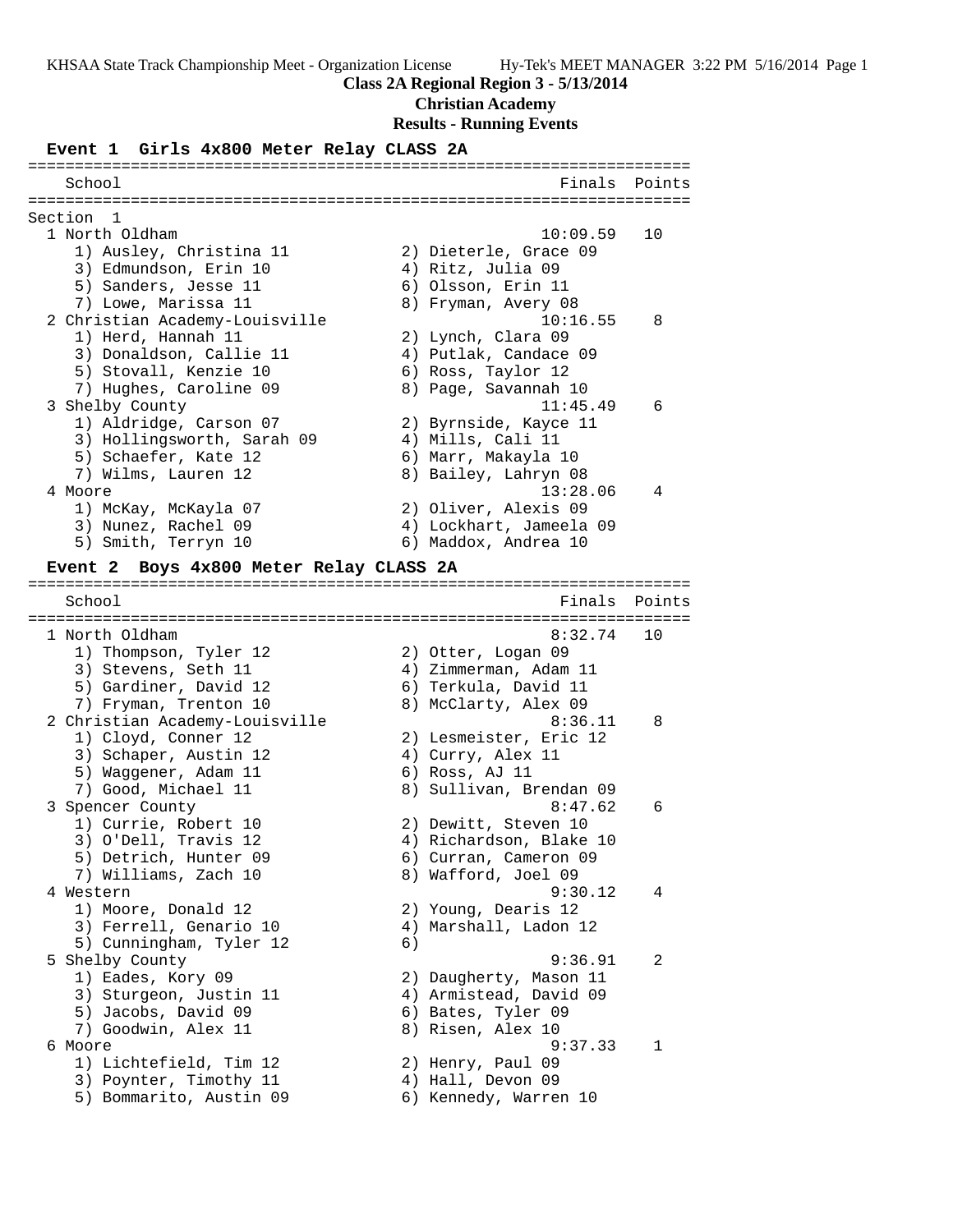# **Class 2A Regional Region 3 - 5/13/2014**

### **Christian Academy**

# **Results - Running Events**

# **Event 1 Girls 4x800 Meter Relay CLASS 2A**

| School                                     | Finals                  | Points |
|--------------------------------------------|-------------------------|--------|
|                                            |                         |        |
| Section 1                                  |                         |        |
| 1 North Oldham                             | 10:09.59                | 10     |
| 1) Ausley, Christina 11                    | 2) Dieterle, Grace 09   |        |
| 3) Edmundson, Erin 10                      | 4) Ritz, Julia 09       |        |
| 5) Sanders, Jesse 11                       | 6) Olsson, Erin 11      |        |
| 7) Lowe, Marissa 11                        | 8) Fryman, Avery 08     |        |
| 2 Christian Academy-Louisville             | 10:16.55                | 8      |
| 1) Herd, Hannah 11                         | 2) Lynch, Clara 09      |        |
| 3) Donaldson, Callie 11                    | 4) Putlak, Candace 09   |        |
| 5) Stovall, Kenzie 10                      | 6) Ross, Taylor 12      |        |
| 7) Hughes, Caroline 09                     | 8) Page, Savannah 10    |        |
| 3 Shelby County                            | 11:45.49                | 6      |
| 1) Aldridge, Carson 07                     | 2) Byrnside, Kayce 11   |        |
| 3) Hollingsworth, Sarah 09                 | 4) Mills, Cali 11       |        |
| 5) Schaefer, Kate 12                       | 6) Marr, Makayla 10     |        |
| 7) Wilms, Lauren 12                        | 8) Bailey, Lahryn 08    |        |
| 4 Moore                                    | 13:28.06                | 4      |
| 1) McKay, McKayla 07                       | 2) Oliver, Alexis 09    |        |
| 3) Nunez, Rachel 09                        | 4) Lockhart, Jameela 09 |        |
| 5) Smith, Terryn 10                        | 6) Maddox, Andrea 10    |        |
|                                            |                         |        |
| Boys 4x800 Meter Relay CLASS 2A<br>Event 2 |                         |        |
|                                            |                         |        |
| School                                     | Finals                  | Points |
| 1 North Oldham                             | 8:32.74                 | 10     |
|                                            |                         |        |
| 1) Thompson, Tyler 12                      | 2) Otter, Logan 09      |        |
| 3) Stevens, Seth 11                        | 4) Zimmerman, Adam 11   |        |
| 5) Gardiner, David 12                      | 6) Terkula, David 11    |        |
| 7) Fryman, Trenton 10                      | 8) McClarty, Alex 09    |        |
| 2 Christian Academy-Louisville             | 8:36.11                 | 8      |
| 1) Cloyd, Conner 12                        | 2) Lesmeister, Eric 12  |        |
| 3) Schaper, Austin 12                      | 4) Curry, Alex 11       |        |
| 5) Waggener, Adam 11                       | 6) Ross, AJ 11          |        |
| 7) Good, Michael 11                        | 8) Sullivan, Brendan 09 |        |
| 3 Spencer County                           | 8:47.62                 | 6      |
| 1) Currie, Robert 10                       | 2) Dewitt, Steven 10    |        |
| 3) O'Dell, Travis 12                       | 4) Richardson, Blake 10 |        |
| 5) Detrich, Hunter 09                      | 6) Curran, Cameron 09   |        |
| 7) Williams, Zach 10                       | 8) Wafford, Joel 09     |        |
| 4 Western                                  | 9:30.12                 | 4      |
| 1) Moore, Donald 12                        | 2) Young, Dearis 12     |        |
| 3) Ferrell, Genario 10                     | 4) Marshall, Ladon 12   |        |
| 5) Cunningham, Tyler 12                    | 6)                      |        |
| 5 Shelby County                            | 9:36.91                 | 2      |
| 1) Eades, Kory 09                          | 2) Daugherty, Mason 11  |        |
| 3) Sturgeon, Justin 11                     | 4) Armistead, David 09  |        |
| 5) Jacobs, David 09                        | 6) Bates, Tyler 09      |        |
| 7) Goodwin, Alex 11                        | 8) Risen, Alex 10       |        |
| 6 Moore                                    | 9:37.33                 | 1      |
| 1) Lichtefield, Tim 12                     | 2) Henry, Paul 09       |        |
| 3) Poynter, Timothy 11                     | 4) Hall, Devon 09       |        |
| 5) Bommarito, Austin 09                    | 6) Kennedy, Warren 10   |        |
|                                            |                         |        |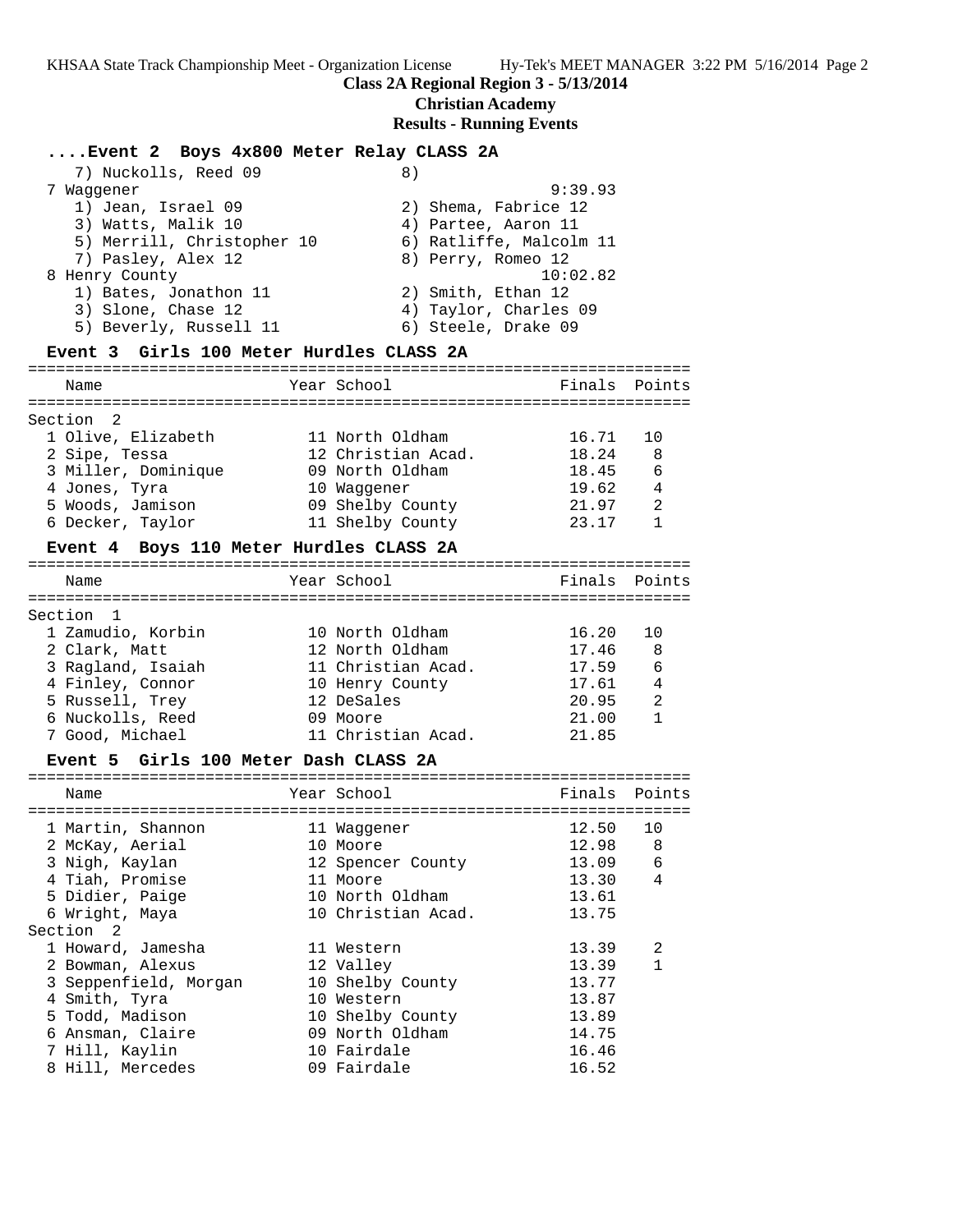#### **Class 2A Regional Region 3 - 5/13/2014**

**Christian Academy**

#### **Results - Running Events**

#### **....Event 2 Boys 4x800 Meter Relay CLASS 2A**

| 7) Nuckolls, Reed 09       | 8)                      |
|----------------------------|-------------------------|
| Waqqener                   | 9:39.93                 |
| 1) Jean, Israel 09         | 2) Shema, Fabrice 12    |
| 3) Watts, Malik 10         | 4) Partee, Aaron 11     |
| 5) Merrill, Christopher 10 | 6) Ratliffe, Malcolm 11 |
| 7) Pasley, Alex 12         | 8) Perry, Romeo 12      |
| 8 Henry County             | 10:02.82                |
| 1) Bates, Jonathon 11      | 2) Smith, Ethan 12      |
| 3) Slone, Chase 12         | 4) Taylor, Charles 09   |
| 5) Beverly, Russell 11     | 6) Steele, Drake 09     |
|                            |                         |

#### **Event 3 Girls 100 Meter Hurdles CLASS 2A**

======================================================================= Name The Year School The Finals Points ======================================================================= Section 2 1 Olive, Elizabeth 11 North Oldham 16.71 10 2 Sipe, Tessa 12 Christian Acad. 18.24 8 3 Miller, Dominique 09 North Oldham 18.45 6 4 Jones, Tyra 10 Waggener 19.62 4 5 Woods, Jamison 09 Shelby County 21.97 2 6 Decker, Taylor 11 Shelby County 23.17 1

# **Event 4 Boys 110 Meter Hurdles CLASS 2A**

| Name |                                                                                                                                                    | Finals Points                                                                                                                              |     |
|------|----------------------------------------------------------------------------------------------------------------------------------------------------|--------------------------------------------------------------------------------------------------------------------------------------------|-----|
|      |                                                                                                                                                    |                                                                                                                                            |     |
|      |                                                                                                                                                    | 16.20                                                                                                                                      | 1 O |
|      |                                                                                                                                                    | 17.46                                                                                                                                      | - 8 |
|      |                                                                                                                                                    | 17.59                                                                                                                                      | 6   |
|      |                                                                                                                                                    | 17.61                                                                                                                                      | 4   |
|      |                                                                                                                                                    | 20.95                                                                                                                                      | 2   |
|      |                                                                                                                                                    | 21.00                                                                                                                                      |     |
|      |                                                                                                                                                    | 21.85                                                                                                                                      |     |
|      | Section 1<br>1 Zamudio, Korbin<br>2 Clark, Matt<br>3 Ragland, Isaiah<br>4 Finley, Connor<br>5 Russell, Trey<br>6 Nuckolls, Reed<br>7 Good, Michael | Year School<br>10 North Oldham<br>12 North Oldham<br>11 Christian Acad.<br>10 Henry County<br>12 DeSales<br>09 Moore<br>11 Christian Acad. |     |

#### **Event 5 Girls 100 Meter Dash CLASS 2A**

| Name                  | Year School        | Finals | Points       |
|-----------------------|--------------------|--------|--------------|
|                       |                    |        |              |
| 1 Martin, Shannon     | 11 Waqqener        | 12.50  | 10           |
| 2 McKay, Aerial       | 10 Moore           | 12.98  | 8            |
| 3 Nigh, Kaylan        | 12 Spencer County  | 13.09  | 6            |
| 4 Tiah, Promise       | 11 Moore           | 13.30  | 4            |
| 5 Didier, Paige       | 10 North Oldham    | 13.61  |              |
| 6 Wright, Maya        | 10 Christian Acad. | 13.75  |              |
| Section 2             |                    |        |              |
| 1 Howard, Jamesha     | 11 Western         | 13.39  | 2            |
| 2 Bowman, Alexus      | 12 Valley          | 13.39  | $\mathbf{1}$ |
| 3 Seppenfield, Morgan | 10 Shelby County   | 13.77  |              |
| 4 Smith, Tyra         | 10 Western         | 13.87  |              |
| 5 Todd, Madison       | 10 Shelby County   | 13.89  |              |
| 6 Ansman, Claire      | 09 North Oldham    | 14.75  |              |
| 7 Hill, Kaylin        | 10 Fairdale        | 16.46  |              |
| 8 Hill, Mercedes      | 09 Fairdale        | 16.52  |              |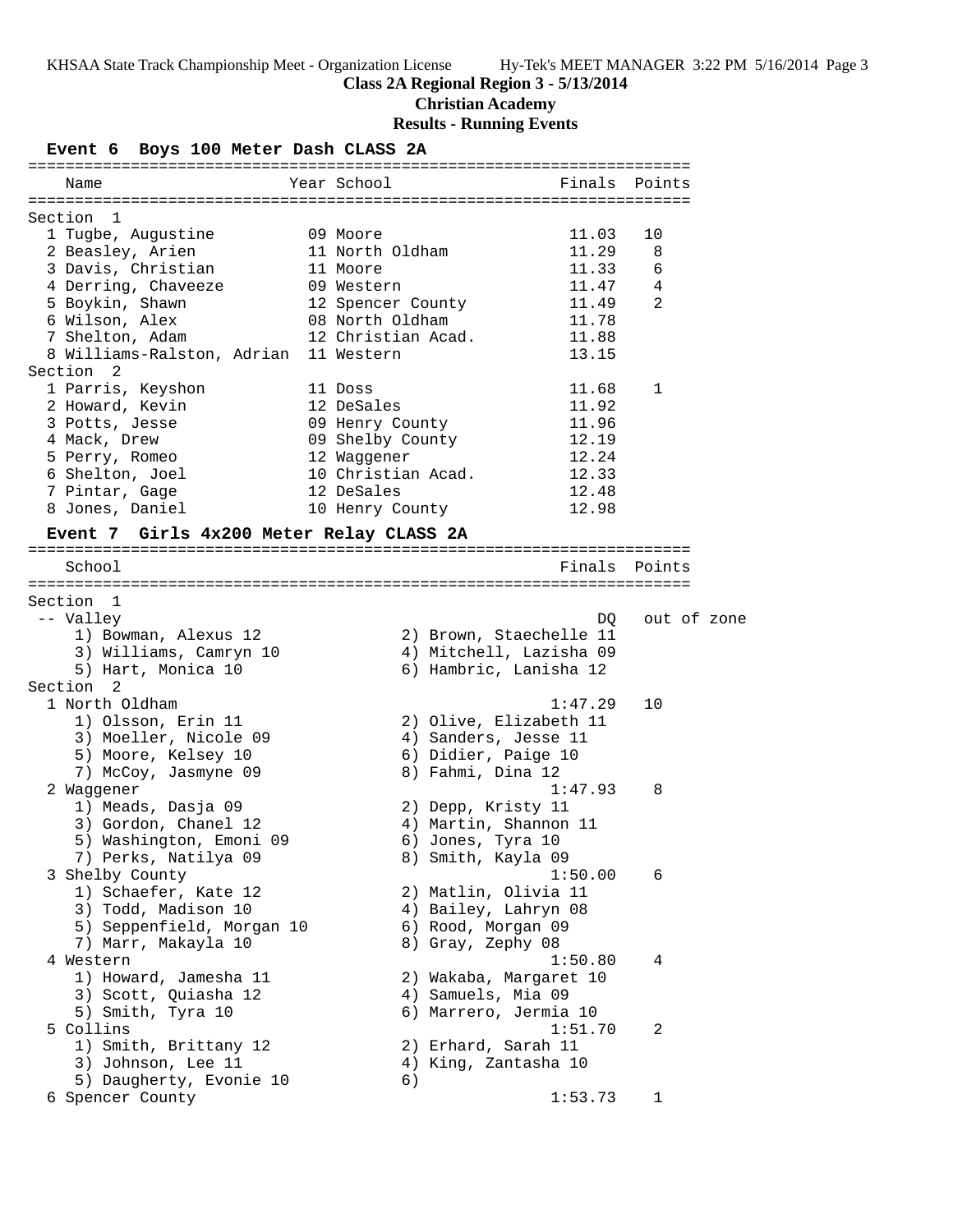# **Class 2A Regional Region 3 - 5/13/2014**

**Christian Academy**

# **Results - Running Events**

| Event 6 Boys 100 Meter Dash CLASS 2A     |                    |                         |               |
|------------------------------------------|--------------------|-------------------------|---------------|
| Name                                     | Year School        |                         | Finals Points |
|                                          |                    |                         |               |
| Section 1                                |                    |                         |               |
| 1 Tugbe, Augustine                       | 09 Moore           | 11.03                   | 10            |
| 2 Beasley, Arien                         | 11 North Oldham    | 11.29                   | 8             |
| 3 Davis, Christian                       | 11 Moore           | 11.33                   | 6             |
| 4 Derring, Chaveeze                      | 09 Western         | 11.47                   | 4             |
| 5 Boykin, Shawn                          | 12 Spencer County  | 11.49                   | 2             |
| 6 Wilson, Alex                           | 08 North Oldham    | 11.78                   |               |
| 7 Shelton, Adam                          | 12 Christian Acad. | 11.88                   |               |
| 8 Williams-Ralston, Adrian               | 11 Western         | 13.15                   |               |
| Section 2                                |                    |                         |               |
| 1 Parris, Keyshon                        | 11 Doss            | 11.68                   | 1             |
| 2 Howard, Kevin                          | 12 DeSales         | 11.92                   |               |
| 3 Potts, Jesse                           | 09 Henry County    | 11.96                   |               |
| 4 Mack, Drew                             | 09 Shelby County   | 12.19                   |               |
| 5 Perry, Romeo                           | 12 Waggener        | 12.24                   |               |
| 6 Shelton, Joel                          | 10 Christian Acad. | 12.33                   |               |
| 7 Pintar, Gage                           | 12 DeSales         | 12.48                   |               |
| 8 Jones, Daniel                          | 10 Henry County    | 12.98                   |               |
| Event 7 Girls 4x200 Meter Relay CLASS 2A |                    |                         |               |
|                                          |                    |                         |               |
| School                                   |                    |                         | Finals Points |
|                                          |                    |                         |               |
| Section 1                                |                    |                         |               |
| -- Valley                                |                    | DQ                      | out of zone   |
| 1) Bowman, Alexus 12                     |                    | 2) Brown, Staechelle 11 |               |
| 3) Williams, Camryn 10                   |                    | 4) Mitchell, Lazisha 09 |               |
| 5) Hart, Monica 10                       |                    | 6) Hambric, Lanisha 12  |               |
| Section <sub>2</sub>                     |                    |                         |               |
| 1 North Oldham                           |                    | 1:47.29                 | 10            |
| 1) Olsson, Erin 11                       |                    | 2) Olive, Elizabeth 11  |               |
| 3) Moeller, Nicole 09                    |                    | 4) Sanders, Jesse 11    |               |
| 5) Moore, Kelsey 10                      |                    | 6) Didier, Paige 10     |               |
| 7) McCoy, Jasmyne 09                     |                    | 8) Fahmi, Dina 12       |               |
| 2 Waggener                               |                    | 1:47.93                 | 8             |
| 1) Meads, Dasja 09                       |                    | 2) Depp, Kristy 11      |               |
| 3) Gordon, Chanel 12                     |                    | 4) Martin, Shannon 11   |               |
| 5) Washington, Emoni 09                  |                    | 6) Jones, Tyra 10       |               |
| 7) Perks, Natilya 09                     |                    | 8) Smith, Kayla 09      |               |
| 3 Shelby County                          |                    | 1:50.00                 | 6             |
| 1) Schaefer, Kate 12                     |                    | 2) Matlin, Olivia 11    |               |
| 3) Todd, Madison 10                      |                    | 4) Bailey, Lahryn 08    |               |
| 5) Seppenfield, Morgan 10                |                    | 6) Rood, Morgan 09      |               |
| 7) Marr, Makayla 10                      |                    | 8) Gray, Zephy 08       |               |
| 4 Western                                |                    | 1:50.80                 | 4             |
| 1) Howard, Jamesha 11                    |                    | 2) Wakaba, Margaret 10  |               |
| 3) Scott, Quiasha 12                     |                    | 4) Samuels, Mia 09      |               |
|                                          |                    |                         |               |
| 5) Smith, Tyra 10                        |                    | 6) Marrero, Jermia 10   |               |
| 5 Collins                                |                    | 1:51.70                 | 2             |
| 1) Smith, Brittany 12                    |                    | 2) Erhard, Sarah 11     |               |
| 3) Johnson, Lee 11                       |                    | 4) King, Zantasha 10    |               |
| 5) Daugherty, Evonie 10                  | 6)                 |                         |               |
| 6 Spencer County                         |                    | 1:53.73                 | 1             |
|                                          |                    |                         |               |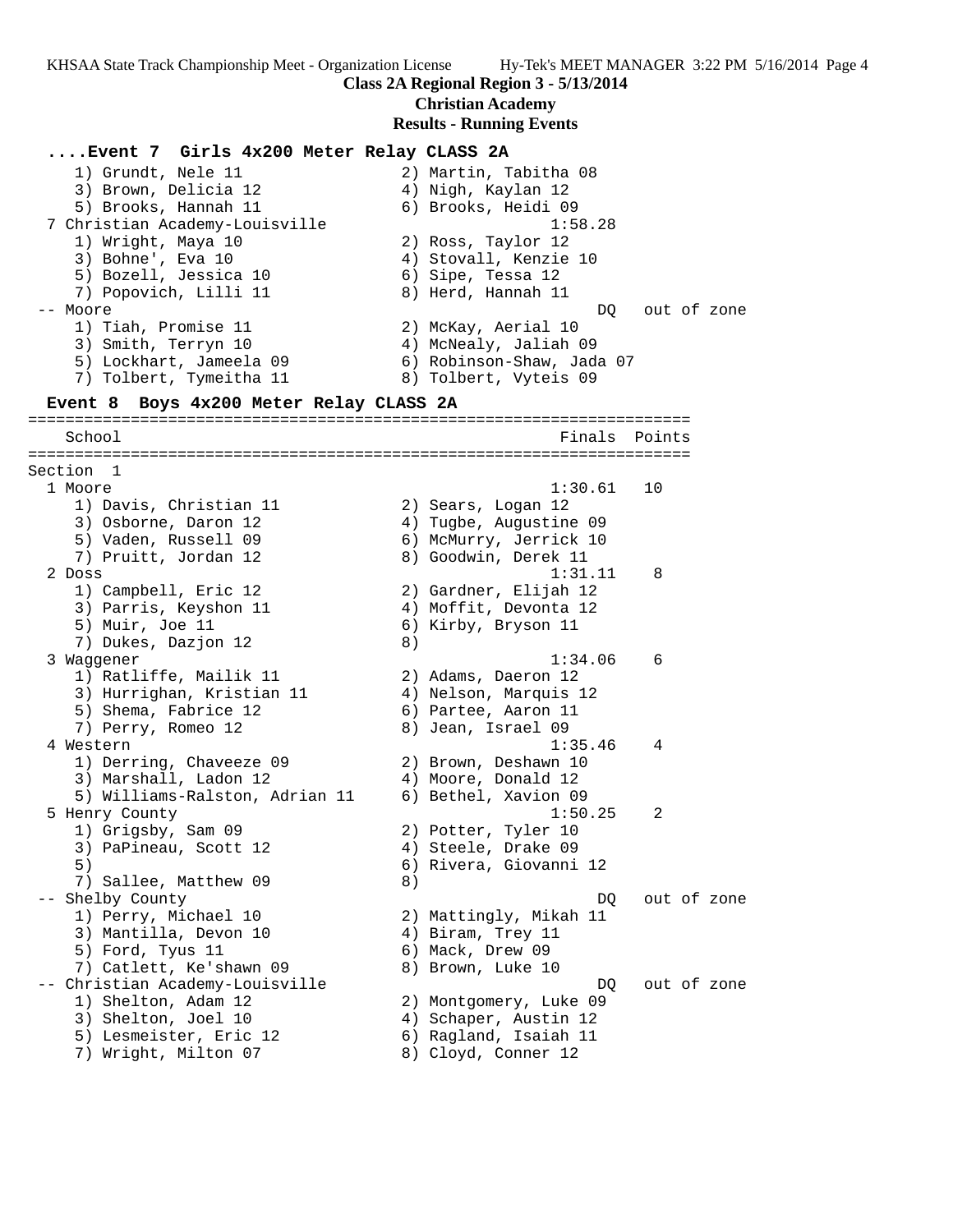**Class 2A Regional Region 3 - 5/13/2014**

#### **Christian Academy**

#### **Results - Running Events**

**....Event 7 Girls 4x200 Meter Relay CLASS 2A** 1) Grundt, Nele 11 2) Martin, Tabitha 08 3) Brown, Delicia 12 (4) Aigh, Kaylan 12 5) Brooks, Hannah 11  $\qquad \qquad$  6) Brooks, Heidi 09 7 Christian Academy-Louisville 1:58.28 1) Wright, Maya 10 2) Ross, Taylor 12 3) Bohne', Eva 10 4) Stovall, Kenzie 10 5) Bozell, Jessica 10  $\qquad \qquad$  6) Sipe, Tessa 12 7) Popovich, Lilli 11 8) Herd, Hannah 11 -- Moore DQ out of zone 1) Tiah, Promise 11 2) McKay, Aerial 10 3) Smith, Terryn 10 4) McNealy, Jaliah 09 5) Lockhart, Jameela 09 6) Robinson-Shaw, Jada 07 7) Tolbert, Tymeitha 11 8) Tolbert, Vyteis 09 **Event 8 Boys 4x200 Meter Relay CLASS 2A** ======================================================================= School **Finals** Points ======================================================================= Section 1 1 Moore 1:30.61 10 1) Davis, Christian 11  $\qquad \qquad$  2) Sears, Logan 12 3) Osborne, Daron 12 4) Tugbe, Augustine 09 5) Vaden, Russell 09 6) McMurry, Jerrick 10 7) Pruitt, Jordan 12 and 8) Goodwin, Derek 11 2 Doss 1:31.11 8 1) Campbell, Eric 12 2) Gardner, Elijah 12 3) Parris, Keyshon 11 4) Moffit, Devonta 12 5) Muir, Joe 11 6) Kirby, Bryson 11 7) Dukes, Dazjon 12 (8) 3 Waggener 1:34.06 6 1) Ratliffe, Mailik 11 (2) Adams, Daeron 12 3) Hurrighan, Kristian 11 4) Nelson, Marquis 12 5) Shema, Fabrice 12 (6) Partee, Aaron 11 7) Perry, Romeo 12 8) Jean, Israel 09 4 Western 1:35.46 4 1) Derring, Chaveeze 09 2) Brown, Deshawn 10 3) Marshall, Ladon 12 4) Moore, Donald 12 5) Williams-Ralston, Adrian 11 6) Bethel, Xavion 09 5 Henry County 1:50.25 2 1) Grigsby, Sam 09 2) Potter, Tyler 10 3) PaPineau, Scott 12 4) Steele, Drake 09 5) 6) Rivera, Giovanni 12 7) Sallee, Matthew 09 8) -- Shelby County  $\Box$  DQ out of zone 1) Perry, Michael 10 2) Mattingly, Mikah 11 3) Mantilla, Devon 10 (4) Biram, Trey 11 5) Ford, Tyus 11 6) Mack, Drew 09 7) Catlett, Ke'shawn 09 8) Brown, Luke 10 -- Christian Academy-Louisville and the DQ out of zone 1) Shelton, Adam 12 2) Montgomery, Luke 09 3) Shelton, Joel 10 4) Schaper, Austin 12 5) Lesmeister, Eric 12 6) Ragland, Isaiah 11 7) Wright, Milton 07 8) Cloyd, Conner 12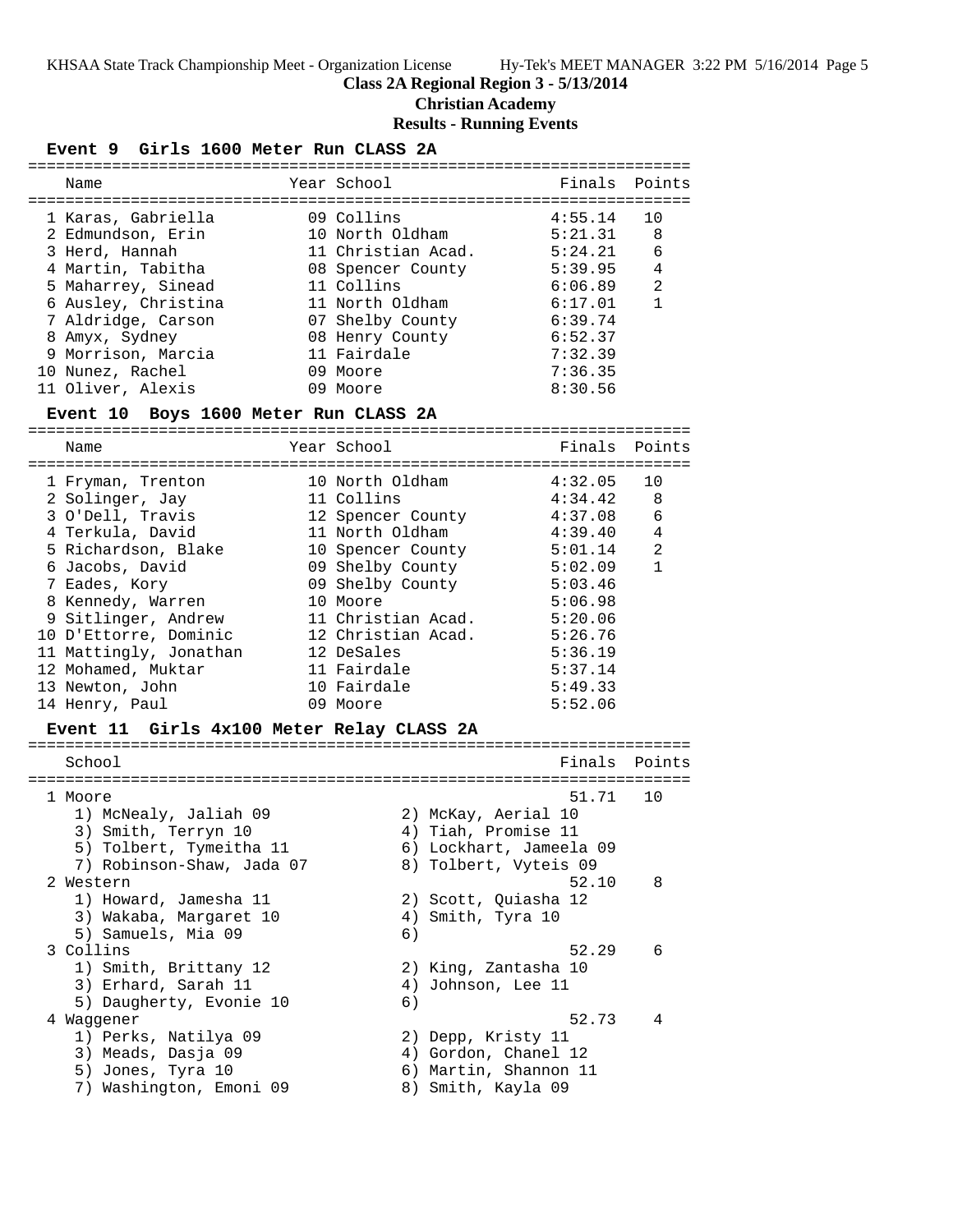**Class 2A Regional Region 3 - 5/13/2014**

**Christian Academy**

### **Results - Running Events**

### **Event 9 Girls 1600 Meter Run CLASS 2A**

| Name                | Year School        | Finals Points |                |
|---------------------|--------------------|---------------|----------------|
| 1 Karas, Gabriella  | 09 Collins         | 4:55.14       |                |
| 2 Edmundson, Erin   | 10 North Oldham    | 5:21.31       | 8              |
| 3 Herd, Hannah      | 11 Christian Acad. | 5:24.21       | 6              |
| 4 Martin, Tabitha   | 08 Spencer County  | 5:39.95       | 4              |
| 5 Maharrey, Sinead  | 11 Collins         | 6:06.89       | $\mathfrak{D}$ |
| 6 Ausley, Christina | 11 North Oldham    | 6:17.01       | $\mathbf{1}$   |
| 7 Aldridge, Carson  | 07 Shelby County   | 6:39.74       |                |
| 8 Amyx, Sydney      | 08 Henry County    | 6:52.37       |                |
| 9 Morrison, Marcia  | 11 Fairdale        | 7:32.39       |                |
| 10 Nunez, Rachel    | 09 Moore           | 7:36.35       |                |
| 11 Oliver, Alexis   | 09 Moore           | 8:30.56       |                |

#### **Event 10 Boys 1600 Meter Run CLASS 2A**

=======================================================================

| Name                   | Year School        | Finals  | Points         |
|------------------------|--------------------|---------|----------------|
| 1 Fryman, Trenton      | 10 North Oldham    | 4:32.05 | 10             |
| 2 Solinger, Jay        | 11 Collins         | 4:34.42 | -8             |
| 3 O'Dell, Travis       | 12 Spencer County  | 4:37.08 | 6              |
| 4 Terkula, David       | 11 North Oldham    | 4:39.40 | $\overline{4}$ |
| 5 Richardson, Blake    | 10 Spencer County  | 5:01.14 | $\mathfrak{D}$ |
| 6 Jacobs, David        | 09 Shelby County   | 5:02.09 | $\mathbf{1}$   |
| 7 Eades, Kory          | 09 Shelby County   | 5:03.46 |                |
| 8 Kennedy, Warren      | 10 Moore           | 5:06.98 |                |
| 9 Sitlinger, Andrew    | 11 Christian Acad. | 5:20.06 |                |
| 10 D'Ettorre, Dominic  | 12 Christian Acad. | 5:26.76 |                |
| 11 Mattingly, Jonathan | 12 DeSales         | 5:36.19 |                |
| 12 Mohamed, Muktar     | 11 Fairdale        | 5:37.14 |                |
| 13 Newton, John        | 10 Fairdale        | 5:49.33 |                |
| 14 Henry, Paul         | 09 Moore           | 5:52.06 |                |

### **Event 11 Girls 4x100 Meter Relay CLASS 2A**

| School                     |    |                         | Finals Points |
|----------------------------|----|-------------------------|---------------|
| 1 Moore                    |    | 51.71                   | 10            |
| 1) McNealy, Jaliah 09      |    | 2) McKay, Aerial 10     |               |
| 3) Smith, Terryn 10        |    | 4) Tiah, Promise 11     |               |
| 5) Tolbert, Tymeitha 11    |    | 6) Lockhart, Jameela 09 |               |
| 7) Robinson-Shaw, Jada 07  |    | 8) Tolbert, Vyteis 09   |               |
| 2 Western                  |    | 52.10                   | 8             |
| 1) Howard, Jamesha 11      |    | 2) Scott, Quiasha 12    |               |
| 3) Wakaba, Margaret 10     |    | 4) Smith, Tyra 10       |               |
| 5) Samuels, Mia 09         | 6) |                         |               |
| 3 Collins                  |    | 52.29                   | 6             |
| 1) Smith, Brittany 12      |    | 2) King, Zantasha 10    |               |
| 3) Erhard, Sarah 11        |    | 4) Johnson, Lee 11      |               |
| 5) Daugherty, Evonie 10    | 6) |                         |               |
| 4 Waqqener                 |    | 52.73                   | 4             |
| 1) Perks, Natilya 09       |    | 2) Depp, Kristy 11      |               |
| 3) Meads, Dasja 09         |    | 4) Gordon, Chanel 12    |               |
| 5) Jones, Tyra 10          |    | 6) Martin, Shannon 11   |               |
| Washington, Emoni 09<br>7) |    | 8) Smith, Kayla 09      |               |
|                            |    |                         |               |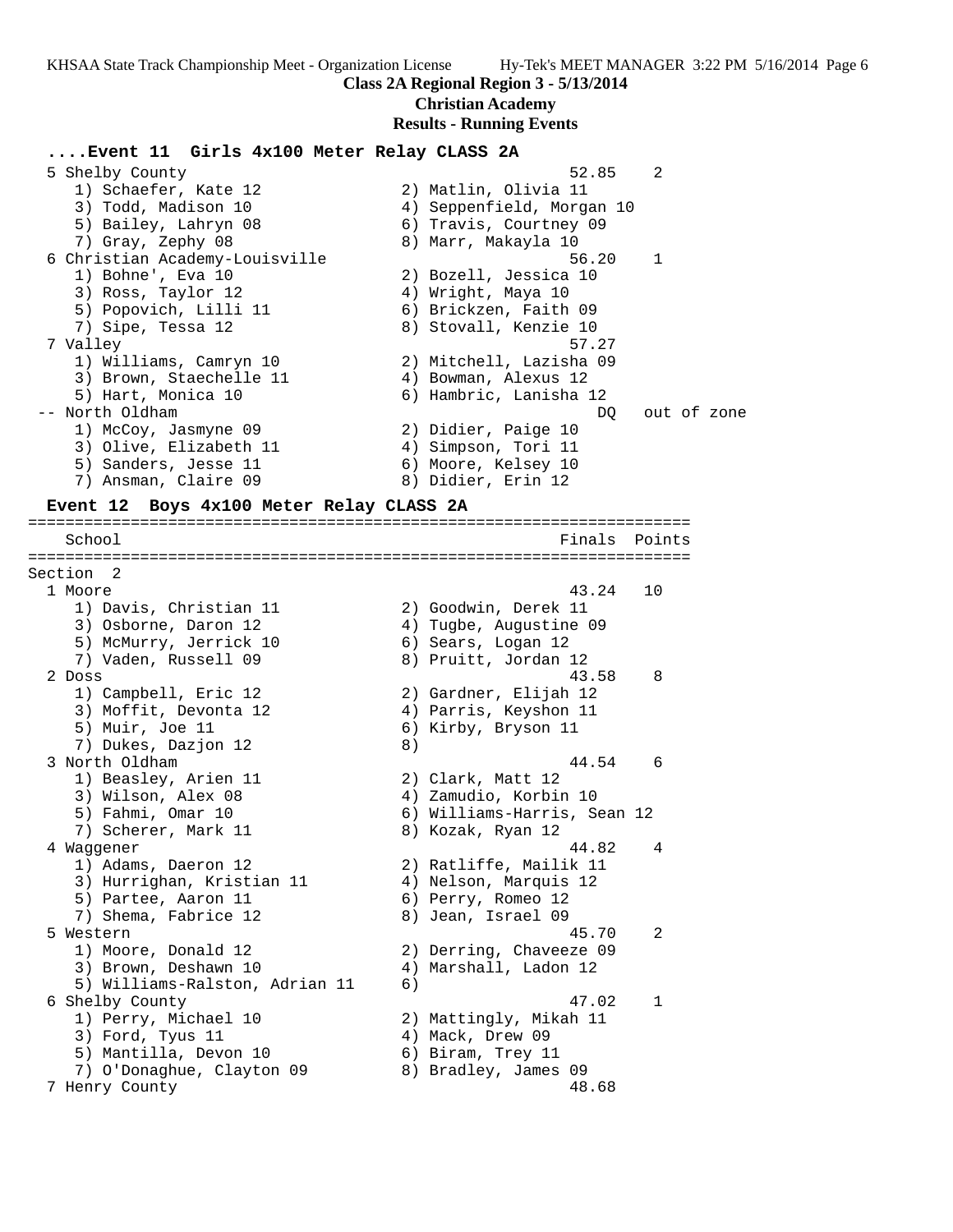### **Class 2A Regional Region 3 - 5/13/2014**

**Christian Academy**

#### **Results - Running Events**

#### **....Event 11 Girls 4x100 Meter Relay CLASS 2A**

| $\mathfrak{D}$<br>52.85   |
|---------------------------|
| 2) Matlin, Olivia 11      |
| 4) Seppenfield, Morgan 10 |
| 6) Travis, Courtney 09    |
| 8) Marr, Makayla 10       |
| $\mathbf{1}$<br>56.20     |
| 2) Bozell, Jessica 10     |
| 4) Wright, Maya 10        |
| 6) Brickzen, Faith 09     |
| 8) Stovall, Kenzie 10     |
| 57.27                     |
| 2) Mitchell, Lazisha 09   |
| 4) Bowman, Alexus 12      |
| 6) Hambric, Lanisha 12    |
| out of zone<br>DO         |
| 2) Didier, Paige 10       |
| 4) Simpson, Tori 11       |
| 6) Moore, Kelsey 10       |
| 8) Didier, Erin 12        |
|                           |

#### **Event 12 Boys 4x100 Meter Relay CLASS 2A**

======================================================================= School Finals Points ======================================================================= Section 2 1 Moore 43.24 10 1) Davis, Christian 11  $\qquad \qquad$  2) Goodwin, Derek 11 3) Osborne, Daron 12 4) Tugbe, Augustine 09 5) McMurry, Jerrick 10  $\qquad \qquad$  6) Sears, Logan 12 7) Vaden, Russell 09 8) Pruitt, Jordan 12 2 Doss 43.58 8 1) Campbell, Eric 12 2) Gardner, Elijah 12 3) Moffit, Devonta 12 4) Parris, Keyshon 11 5) Muir, Joe 11 6) Kirby, Bryson 11 7) Dukes, Dazjon 12 (8) 3 North Oldham 44.54 6 1) Beasley, Arien 11 2) Clark, Matt 12 3) Wilson, Alex 08 4) Zamudio, Korbin 10 5) Fahmi, Omar 10 6) Williams-Harris, Sean 12 7) Scherer, Mark 11 and 8) Kozak, Ryan 12 4 Waggener 44.82 4 1) Adams, Daeron 12 2) Ratliffe, Mailik 11 3) Hurrighan, Kristian 11 4) Nelson, Marquis 12 5) Partee, Aaron 11 6) Perry, Romeo 12 7) Shema, Fabrice 12 (8) Jean, Israel 09 5 Western 45.70 2 1) Moore, Donald 12 2) Derring, Chaveeze 09 3) Brown, Deshawn 10 4) Marshall, Ladon 12 5) Williams-Ralston, Adrian 11 6) 6 Shelby County 47.02 1 1) Perry, Michael 10 2) Mattingly, Mikah 11 3) Ford, Tyus 11 (4) Mack, Drew 09 5) Mantilla, Devon 10 (6) Biram, Trey 11 7) O'Donaghue, Clayton 09 8) Bradley, James 09 7 Henry County 48.68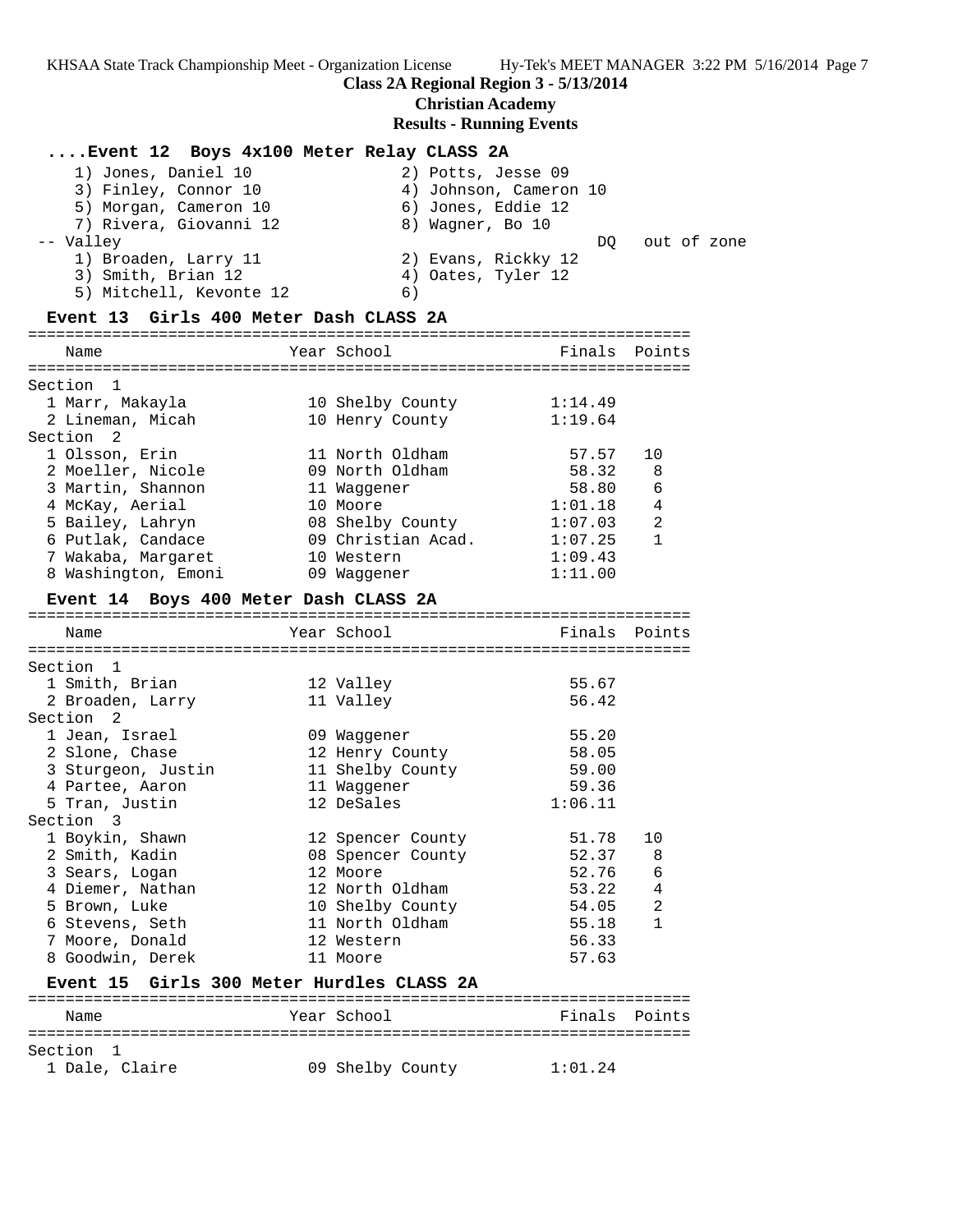### **Class 2A Regional Region 3 - 5/13/2014**

**Christian Academy**

### **Results - Running Events**

# **....Event 12 Boys 4x100 Meter Relay CLASS 2A**

| 1) Jones, Daniel 10     | 2) Potts, Jesse 09     |
|-------------------------|------------------------|
| 3) Finley, Connor 10    | 4) Johnson, Cameron 10 |
| 5) Morgan, Cameron 10   | 6) Jones, Eddie 12     |
| 7) Rivera, Giovanni 12  | 8) Wagner, Bo 10       |
| -- Valley               | out of zone<br>DO      |
| 1) Broaden, Larry 11    | 2) Evans, Rickky 12    |
| 3) Smith, Brian 12      | 4) Oates, Tyler 12     |
| 5) Mitchell, Kevonte 12 | 6)                     |

### **Event 13 Girls 400 Meter Dash CLASS 2A**

| Name                |    | Finals Points                                                                                                                                                                           |                |
|---------------------|----|-----------------------------------------------------------------------------------------------------------------------------------------------------------------------------------------|----------------|
| Section 1           |    |                                                                                                                                                                                         |                |
| 1 Marr, Makayla     |    | 1:14.49                                                                                                                                                                                 |                |
| 2 Lineman, Micah    |    | 1:19.64                                                                                                                                                                                 |                |
| Section 2           |    |                                                                                                                                                                                         |                |
| 1 Olsson, Erin      |    | 57.57                                                                                                                                                                                   | 10             |
| 2 Moeller, Nicole   |    | 58.32                                                                                                                                                                                   | -8             |
| 3 Martin, Shannon   |    | 58.80                                                                                                                                                                                   | 6              |
| 4 McKay, Aerial     |    | 1:01.18                                                                                                                                                                                 | $\overline{4}$ |
| 5 Bailey, Lahryn    |    | 1:07.03                                                                                                                                                                                 | $\mathfrak{D}$ |
| 6 Putlak, Candace   |    | 1:07.25                                                                                                                                                                                 | $\mathbf{1}$   |
| 7 Wakaba, Margaret  |    | 1:09.43                                                                                                                                                                                 |                |
| 8 Washington, Emoni | 09 | 1:11.00                                                                                                                                                                                 |                |
|                     |    | Year School<br>10 Shelby County<br>10 Henry County<br>11 North Oldham<br>09 North Oldham<br>11 Waqqener<br>10 Moore<br>08 Shelby County<br>09 Christian Acad.<br>10 Western<br>Waqqener |                |

### **Event 14 Boys 400 Meter Dash CLASS 2A**

| Name                                      | Year School <b>Super</b> | Finals Points |                |
|-------------------------------------------|--------------------------|---------------|----------------|
| ------------------------------------      | ------------------------ |               |                |
| Section 1                                 |                          |               |                |
| 1 Smith, Brian                            | 12 Valley                | 55.67         |                |
| 2 Broaden, Larry                          | 11 Valley                | 56.42         |                |
| Section 2                                 |                          |               |                |
| 1 Jean, Israel                            | 09 Waqqener              | 55.20         |                |
| 2 Slone, Chase                            | 12 Henry County          | 58.05         |                |
| 3 Sturgeon, Justin                        | 11 Shelby County         | 59.00         |                |
| 4 Partee, Aaron                           | 11 Waqqener              | 59.36         |                |
| 5 Tran, Justin                            | 12 DeSales               | 1:06.11       |                |
| Section 3                                 |                          |               |                |
| 1 Boykin, Shawn                           | 12 Spencer County        | 51.78         | 10             |
| 2 Smith, Kadin                            | 08 Spencer County        | 52.37         | - 8            |
| 3 Sears, Logan                            | 12 Moore                 | 52.76         | $\epsilon$     |
| 4 Diemer, Nathan                          | 12 North Oldham          | 53.22         | $\overline{4}$ |
| 5 Brown, Luke                             | 10 Shelby County         | 54.05         | $\overline{2}$ |
| 6 Stevens, Seth                           | 11 North Oldham          | 55.18         | $\mathbf{1}$   |
| 7 Moore, Donald                           | 12 Western               | 56.33         |                |
| 8 Goodwin, Derek                          | 11 Moore                 | 57.63         |                |
| Event 15 Girls 300 Meter Hurdles CLASS 2A |                          |               |                |

#### **Event 15 Girls 300 Meter Hurdles CLASS 2A** =======================================================================

| Name           | Year School      | Finals Points |
|----------------|------------------|---------------|
| Section 1      |                  |               |
| 1 Dale, Claire | 09 Shelby County | 1:01.24       |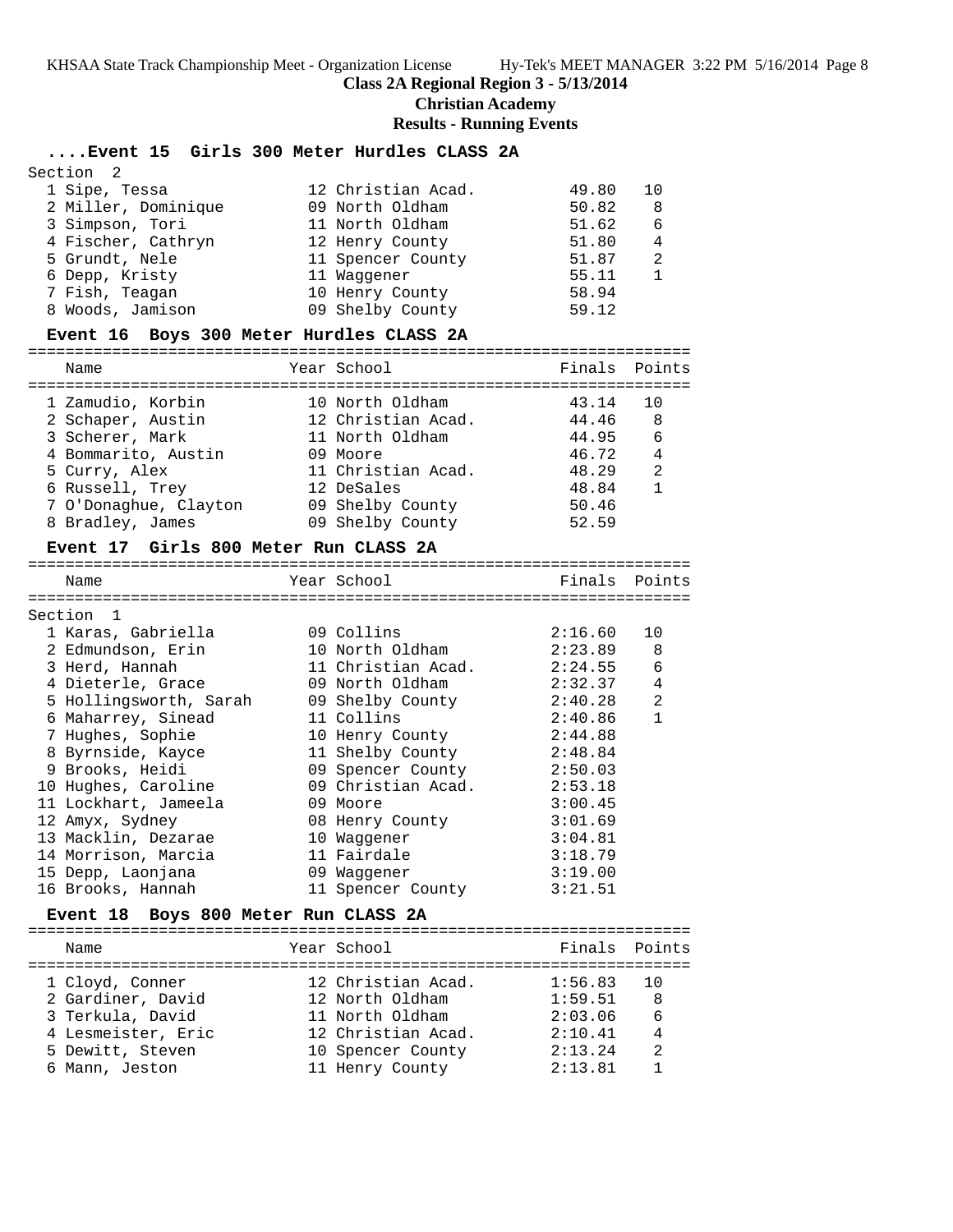#### **Class 2A Regional Region 3 - 5/13/2014**

#### **Christian Academy**

#### **Results - Running Events**

#### **....Event 15 Girls 300 Meter Hurdles CLASS 2A**

| Section <sub>2</sub> |                    |       |    |
|----------------------|--------------------|-------|----|
| 1 Sipe, Tessa        | 12 Christian Acad. | 49.80 | 10 |
| 2 Miller, Dominique  | 09 North Oldham    | 50.82 | 8  |
| 3 Simpson, Tori      | 11 North Oldham    | 51.62 | 6  |
| 4 Fischer, Cathryn   | 12 Henry County    | 51.80 | 4  |
| 5 Grundt, Nele       | 11 Spencer County  | 51.87 | 2  |
| 6 Depp, Kristy       | 11 Waqqener        | 55.11 |    |
| 7 Fish, Teagan       | 10 Henry County    | 58.94 |    |
| 8 Woods, Jamison     | 09 Shelby County   | 59.12 |    |

#### **Event 16 Boys 300 Meter Hurdles CLASS 2A**

=======================================================================

| Name                  | Year School        | Finals Points |              |
|-----------------------|--------------------|---------------|--------------|
| 1 Zamudio, Korbin     | 10 North Oldham    | 43.14         | 10           |
| 2 Schaper, Austin     | 12 Christian Acad. | 44.46         | 8            |
| 3 Scherer, Mark       | 11 North Oldham    | 44.95         | - 6          |
| 4 Bommarito, Austin   | 09 Moore           | 46.72         | 4            |
| 5 Curry, Alex         | 11 Christian Acad. | 48.29         | 2            |
| 6 Russell, Trey       | 12 DeSales         | 48.84         | $\mathbf{1}$ |
| 7 O'Donaghue, Clayton | 09 Shelby County   | 50.46         |              |
| 8 Bradley, James      | 09 Shelby County   | 52.59         |              |

#### **Event 17 Girls 800 Meter Run CLASS 2A**

======================================================================= Name Year School Finals Points ======================================================================= Section 1 1 Karas, Gabriella 09 Collins 2:16.60 10

| 2 Edmundson, Erin      | 10 North Oldham    | 2:23.89 | 8              |
|------------------------|--------------------|---------|----------------|
| 3 Herd, Hannah         | 11 Christian Acad. | 2:24.55 | 6              |
| 4 Dieterle, Grace      | 09 North Oldham    | 2:32.37 | 4              |
| 5 Hollingsworth, Sarah | 09 Shelby County   | 2:40.28 | $\overline{2}$ |
| 6 Maharrey, Sinead     | 11 Collins         | 2:40.86 | 1              |
| 7 Hughes, Sophie       | 10 Henry County    | 2:44.88 |                |
| 8 Byrnside, Kayce      | 11 Shelby County   | 2:48.84 |                |
| 9 Brooks, Heidi        | 09 Spencer County  | 2:50.03 |                |
| 10 Hughes, Caroline    | 09 Christian Acad. | 2:53.18 |                |
| 11 Lockhart, Jameela   | 09 Moore           | 3:00.45 |                |
| 12 Amyx, Sydney        | 08 Henry County    | 3:01.69 |                |
| 13 Macklin, Dezarae    | 10 Waqqener        | 3:04.81 |                |
| 14 Morrison, Marcia    | 11 Fairdale        | 3:18.79 |                |
| 15 Depp, Laonjana      | 09 Waqqener        | 3:19.00 |                |
| 16 Brooks, Hannah      | 11 Spencer County  | 3:21.51 |                |

#### **Event 18 Boys 800 Meter Run CLASS 2A**

======================================================================= Name The Year School The Finals Points ======================================================================= 1 Cloyd, Conner 12 Christian Acad. 1:56.83 10 2 Gardiner, David 12 North Oldham 1:59.51 8 3 Terkula, David 11 North Oldham 2:03.06 6 4 Lesmeister, Eric 12 Christian Acad. 2:10.41 4 5 Dewitt, Steven 10 Spencer County 2:13.24 2 6 Mann, Jeston 11 Henry County 2:13.81 1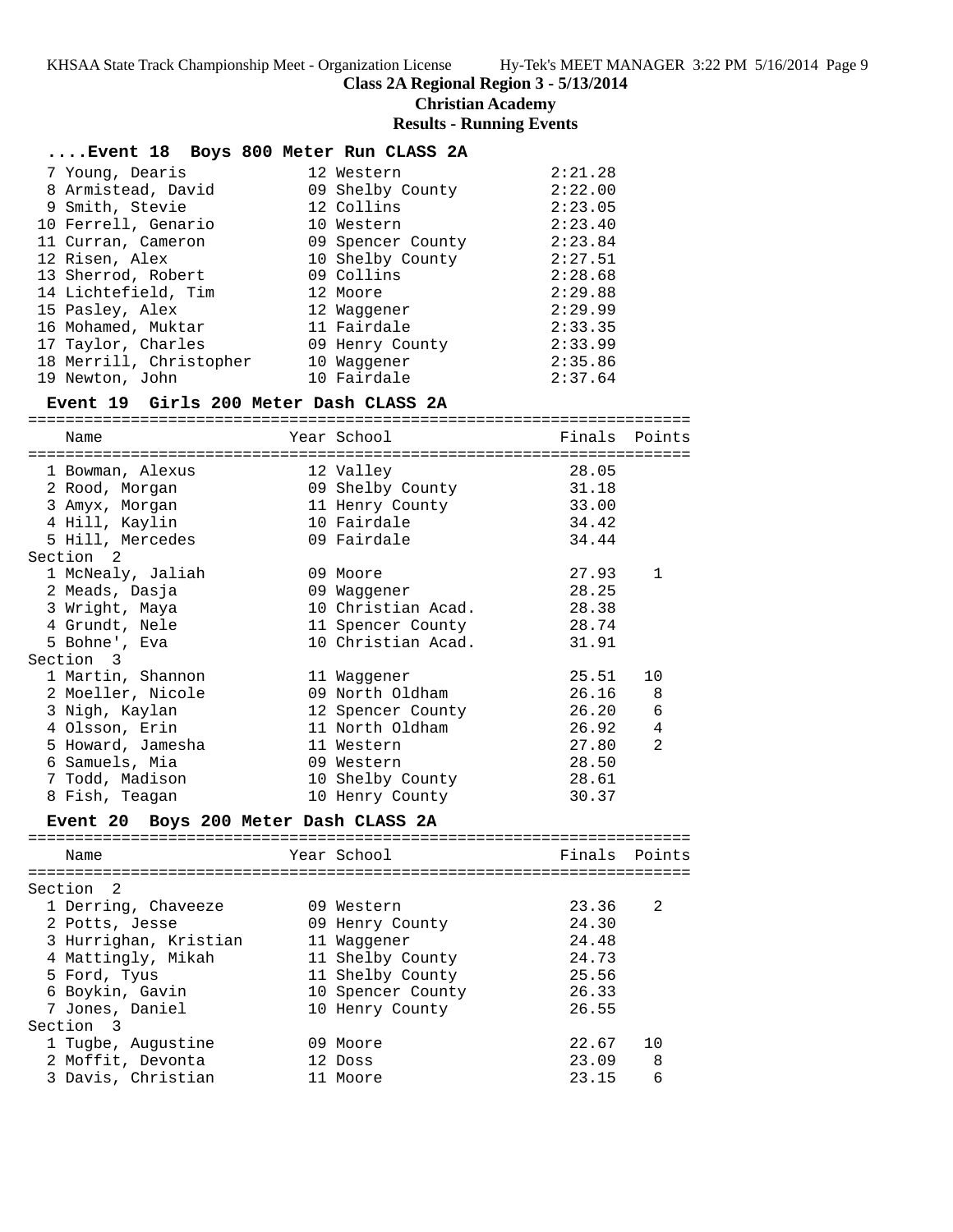**Class 2A Regional Region 3 - 5/13/2014**

**Christian Academy**

**Results - Running Events**

| Event 18 Boys 800 Meter Run CLASS 2A   |                          |         |        |
|----------------------------------------|--------------------------|---------|--------|
| 7 Young, Dearis                        | 12 Western               | 2:21.28 |        |
| 8 Armistead, David                     | 09 Shelby County         | 2:22.00 |        |
| 9 Smith, Stevie                        | 12 Collins               | 2:23.05 |        |
| 10 Ferrell, Genario                    | 10 Western               | 2:23.40 |        |
| 11 Curran, Cameron                     | 09 Spencer County        | 2:23.84 |        |
| 12 Risen, Alex                         | 10 Shelby County         | 2:27.51 |        |
| 13 Sherrod, Robert                     | 09 Collins               | 2:28.68 |        |
| 14 Lichtefield, Tim                    | 12 Moore                 | 2:29.88 |        |
| 15 Pasley, Alex                        | 12 Waggener              | 2:29.99 |        |
| 16 Mohamed, Muktar                     | 11 Fairdale              | 2:33.35 |        |
| 17 Taylor, Charles                     | 09 Henry County          | 2:33.99 |        |
| 18 Merrill, Christopher                | 10 Waggener              | 2:35.86 |        |
| 19 Newton, John                        | 10 Fairdale              | 2:37.64 |        |
| Event 19 Girls 200 Meter Dash CLASS 2A |                          |         |        |
|                                        |                          |         |        |
| Name                                   | Year School              | Finals  | Points |
| 1 Bowman, Alexus                       | 12 Valley                | 28.05   |        |
| 2 Rood, Morgan                         | 09 Shelby County 31.18   |         |        |
| 3 Amyx, Morgan                         | 11 Henry County          | 33.00   |        |
| 4 Hill, Kaylin                         | 10 Fairdale              | 34.42   |        |
| 5 Hill, Mercedes                       | 09 Fairdale              | 34.44   |        |
| Section 2                              |                          |         |        |
| 1 McNealy, Jaliah                      | 09 Moore                 | 27.93   | 1      |
| 2 Meads, Dasja                         | 09 Waggener              | 28.25   |        |
| 3 Wright, Maya                         | 10 Christian Acad. 28.38 |         |        |
| 4 Grundt, Nele                         | 11 Spencer County 28.74  |         |        |
| 5 Bohne', Eva                          | 10 Christian Acad.       | 31.91   |        |
| Section 3                              |                          |         |        |
| 1 Martin, Shannon                      | 11 Waggener              | 25.51   | 10     |
| 2 Moeller, Nicole                      | 09 North Oldham          | 26.16   | 8      |
| 3 Nigh, Kaylan                         | 12 Spencer County        | 26.20   | 6      |
|                                        | 11 North Oldham          | 26.92   | 4      |
| 4 Olsson, Erin                         |                          |         | 2      |
| 5 Howard, Jamesha                      | 11 Western               | 27.80   |        |
| 6 Samuels, Mia                         | 09 Western               | 28.50   |        |
| 7 Todd, Madison                        | 10 Shelby County         | 28.61   |        |
| 8 Fish, Teagan                         | 10 Henry County          | 30.37   |        |
| Event 20 Boys 200 Meter Dash CLASS 2A  |                          |         |        |
| Name                                   | Year School              | Finals  | Points |
|                                        |                          |         |        |
| Section<br>2                           |                          |         |        |
| 1 Derring, Chaveeze                    | 09 Western               | 23.36   | 2      |
| 2 Potts, Jesse                         | 09 Henry County          | 24.30   |        |
| 3 Hurrighan, Kristian                  | 11 Waqqener              | 24.48   |        |
| 4 Mattingly, Mikah                     | 11 Shelby County         | 24.73   |        |
| 5 Ford, Tyus                           | 11 Shelby County         | 25.56   |        |
| 6 Boykin, Gavin                        | 10 Spencer County        | 26.33   |        |
| 7 Jones, Daniel                        | 10 Henry County          | 26.55   |        |
| Section 3                              |                          |         |        |
| 1 Tugbe, Augustine                     | 09 Moore                 | 22.67   | 10     |
| 2 Moffit, Devonta                      | 12 Doss                  | 23.09   | 8      |
| 3 Davis, Christian                     | 11 Moore                 | 23.15   | 6      |
|                                        |                          |         |        |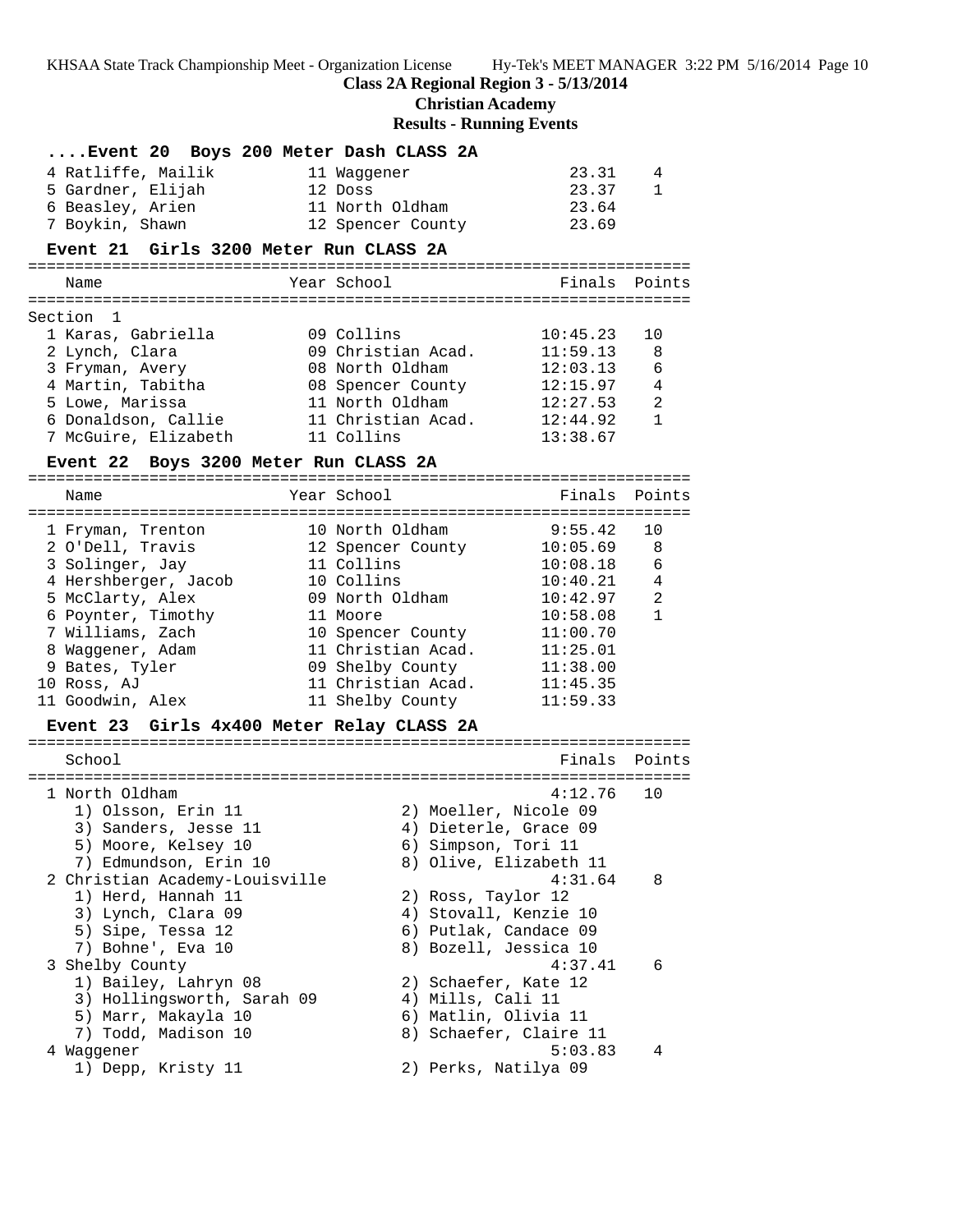**Class 2A Regional Region 3 - 5/13/2014**

# **Christian Academy**

**Results - Running Events**

| Event 20 Boys 200 Meter Dash CLASS 2A             |                                 |                                           |                |
|---------------------------------------------------|---------------------------------|-------------------------------------------|----------------|
| 4 Ratliffe, Mailik                                | 11 Waggener                     | 23.31                                     | 4              |
| 5 Gardner, Elijah                                 | 12 Doss                         | 23.37                                     | $\mathbf{1}$   |
| 6 Beasley, Arien                                  | 11 North Oldham                 | 23.64                                     |                |
| 7 Boykin, Shawn                                   | 12 Spencer County               | 23.69                                     |                |
|                                                   |                                 |                                           |                |
| Event 21 Girls 3200 Meter Run CLASS 2A            |                                 |                                           |                |
| Name                                              | Year School                     |                                           | Finals Points  |
| Section 1                                         |                                 |                                           |                |
| 1 Karas, Gabriella                                | 09 Collins                      | 10:45.23                                  | 10             |
| 2 Lynch, Clara                                    | 09 Christian Acad.              | 11:59.13                                  | 8              |
| 3 Fryman, Avery                                   | 08 North Oldham                 | 12:03.13                                  | 6              |
| 4 Martin, Tabitha                                 | 08 Spencer County               | 12:15.97                                  | $\overline{4}$ |
| 5 Lowe, Marissa                                   | 11 North Oldham                 | 12:27.53                                  | 2              |
| 6 Donaldson, Callie                               | 11 Christian Acad.              | 12:44.92                                  | $\mathbf{1}$   |
| 7 McGuire, Elizabeth                              | 11 Collins                      | 13:38.67                                  |                |
| Event 22 Boys 3200 Meter Run CLASS 2A             |                                 |                                           |                |
| Name                                              | Year School                     | Finals                                    | Points         |
|                                                   |                                 |                                           |                |
| 1 Fryman, Trenton                                 | 10 North Oldham                 | 9:55.42                                   | 10             |
| 2 O'Dell, Travis                                  | 12 Spencer County<br>11 Collins | 10:05.69<br>10:08.18                      | 8<br>6         |
| 3 Solinger, Jay<br>4 Hershberger, Jacob           | 10 Collins                      | 10:40.21                                  | 4              |
| 5 McClarty, Alex                                  | 09 North Oldham                 | 10:42.97                                  | 2              |
| 6 Poynter, Timothy                                | 11 Moore                        | 10:58.08                                  | $\mathbf{1}$   |
| 7 Williams, Zach                                  | 10 Spencer County               | 11:00.70                                  |                |
| 8 Waggener, Adam                                  | 11 Christian Acad.              | 11:25.01                                  |                |
| 9 Bates, Tyler                                    | 09 Shelby County                | 11:38.00                                  |                |
| 10 Ross, AJ                                       | 11 Christian Acad.              | 11:45.35                                  |                |
| 11 Goodwin, Alex                                  | 11 Shelby County                | 11:59.33                                  |                |
| Event 23 Girls 4x400 Meter Relay CLASS 2A         |                                 |                                           |                |
|                                                   |                                 | Finals                                    |                |
| School                                            |                                 |                                           | Points         |
| 1 North Oldham                                    |                                 | 4:12.76                                   | 10             |
| 1) Olsson, Erin 11                                |                                 | 2) Moeller, Nicole 09                     |                |
| 3) Sanders, Jesse 11                              |                                 | 4) Dieterle, Grace 09                     |                |
| 5) Moore, Kelsey 10                               |                                 | 6) Simpson, Tori 11                       |                |
| 7) Edmundson, Erin 10                             |                                 | 8) Olive, Elizabeth 11                    |                |
| 2 Christian Academy-Louisville                    |                                 | 4:31.64                                   | 8              |
| 1) Herd, Hannah 11                                |                                 | 2) Ross, Taylor 12                        |                |
| 3) Lynch, Clara 09                                |                                 | 4) Stovall, Kenzie 10                     |                |
| 5) Sipe, Tessa 12                                 |                                 | 6) Putlak, Candace 09                     |                |
| 7) Bohne', Eva 10                                 |                                 | 8) Bozell, Jessica 10                     |                |
| 3 Shelby County                                   |                                 | 4:37.41                                   | 6              |
| 1) Bailey, Lahryn 08                              |                                 | 2) Schaefer, Kate 12                      |                |
| 3) Hollingsworth, Sarah 09<br>5) Marr, Makayla 10 |                                 | 4) Mills, Cali 11<br>6) Matlin, Olivia 11 |                |
| 7) Todd, Madison 10                               |                                 | 8) Schaefer, Claire 11                    |                |
| 4 Waggener                                        |                                 | 5:03.83                                   | 4              |
| 1) Depp, Kristy 11                                |                                 | 2) Perks, Natilya 09                      |                |
|                                                   |                                 |                                           |                |